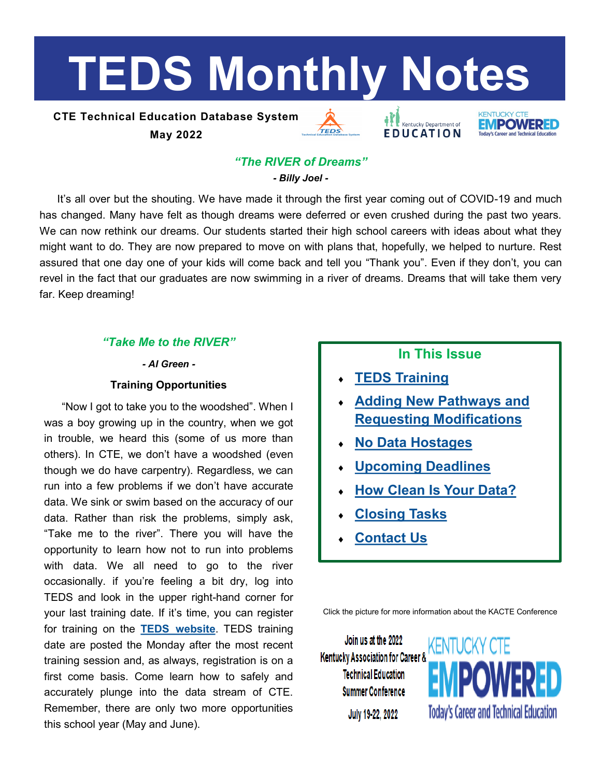# <span id="page-0-0"></span>**TEDS Monthly Notes**

## **CTE Technical Education Database System May 2022**





## *"The RIVER of Dreams"*

TED:

*- Billy Joel -*

It's all over but the shouting. We have made it through the first year coming out of COVID-19 and much has changed. Many have felt as though dreams were deferred or even crushed during the past two years. We can now rethink our dreams. Our students started their high school careers with ideas about what they might want to do. They are now prepared to move on with plans that, hopefully, we helped to nurture. Rest assured that one day one of your kids will come back and tell you "Thank you". Even if they don't, you can revel in the fact that our graduates are now swimming in a river of dreams. Dreams that will take them very far. Keep dreaming!

## *"Take Me to the RIVER"*

#### *- Al Green -*

### **Training Opportunities**

"Now I got to take you to the woodshed". When I was a boy growing up in the country, when we got in trouble, we heard this (some of us more than others). In CTE, we don't have a woodshed (even though we do have carpentry). Regardless, we can run into a few problems if we don't have accurate data. We sink or swim based on the accuracy of our data. Rather than risk the problems, simply ask, "Take me to the river". There you will have the opportunity to learn how not to run into problems with data. We all need to go to the river occasionally. if you're feeling a bit dry, log into TEDS and look in the upper right-hand corner for your last training date. If it's time, you can register for training on the **[TEDS website](https://education.ky.gov/CTE/teds/Pages/default.aspx)**. TEDS training date are posted the Monday after the most recent training session and, as always, registration is on a first come basis. Come learn how to safely and accurately plunge into the data stream of CTE. Remember, there are only two more opportunities this school year (May and June).

# **In This Issue**

- **[TEDS Training](#page-0-0)**
- **[Adding New Pathways and](#page-1-0)  [Requesting Modifications](#page-1-0)**
- **[No Data Hostages](#page-1-0)**
- **[Upcoming Deadlines](#page-1-0)**
- **[How Clean Is Your Data?](#page-2-0)**
- **[Closing Tasks](#page-3-0)**
- **[Contact Us](#page-3-0)**

Click the picture for more information about the KACTE Conference

Join us at the 2022 Kentucky Association for Career & **Technical Education Summer Conference** July 19-22, 2022

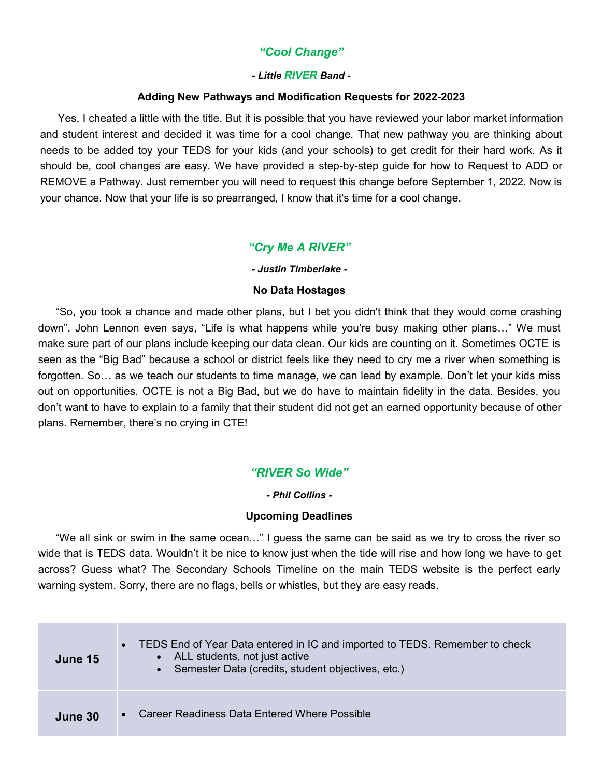# *"Cool Change"*

#### *- Little RIVER Band -*

#### **Adding New Pathways and Modification Requests for 2022-2023**

<span id="page-1-0"></span>Yes, I cheated a little with the title. But it is possible that you have reviewed your labor market information and student interest and decided it was time for a cool change. That new pathway you are thinking about needs to be added toy your TEDS for your kids (and your schools) to get credit for their hard work. As it should be, cool changes are easy. We have provided a step-by-step guide for how to Request to ADD or REMOVE a Pathway. Just remember you will need to request this change before September 1, 2022. Now is your chance. Now that your life is so prearranged, I know that it's time for a cool change.

## *"Cry Me A RIVER"*

#### *- Justin Timberlake -*

#### **No Data Hostages**

"So, you took a chance and made other plans, but I bet you didn't think that they would come crashing down". John Lennon even says, "Life is what happens while you're busy making other plans…" We must make sure part of our plans include keeping our data clean. Our kids are counting on it. Sometimes OCTE is seen as the "Big Bad" because a school or district feels like they need to cry me a river when something is forgotten. So… as we teach our students to time manage, we can lead by example. Don't let your kids miss out on opportunities. OCTE is not a Big Bad, but we do have to maintain fidelity in the data. Besides, you don't want to have to explain to a family that their student did not get an earned opportunity because of other plans. Remember, there's no crying in CTE!

## *"RIVER So Wide"*

#### *- Phil Collins -*

#### **Upcoming Deadlines**

"We all sink or swim in the same ocean…" I guess the same can be said as we try to cross the river so wide that is TEDS data. Wouldn't it be nice to know just when the tide will rise and how long we have to get across? Guess what? The Secondary Schools Timeline on the main TEDS website is the perfect early warning system. Sorry, there are no flags, bells or whistles, but they are easy reads.

| June 15 | TEDS End of Year Data entered in IC and imported to TEDS. Remember to check<br>$\bullet$<br>• ALL students, not just active<br>• Semester Data (credits, student objectives, etc.) |
|---------|------------------------------------------------------------------------------------------------------------------------------------------------------------------------------------|
| June 30 | Career Readiness Data Entered Where Possible<br>$\bullet$                                                                                                                          |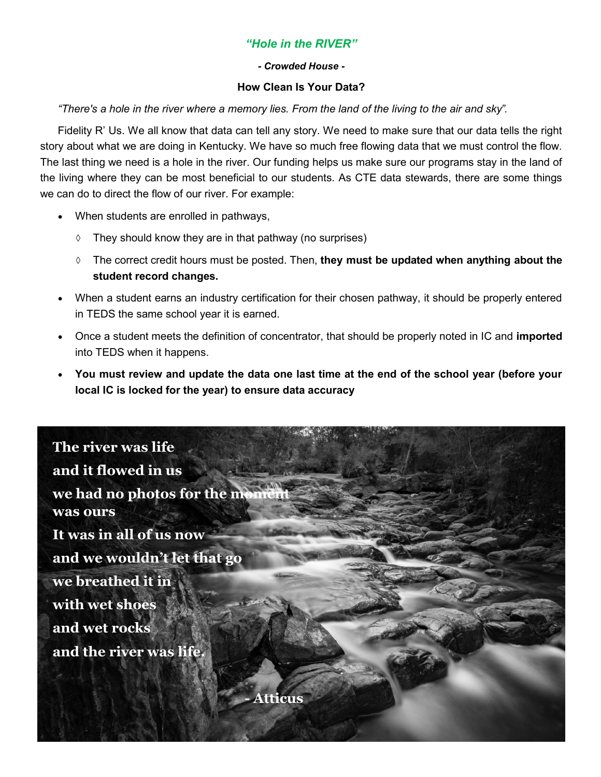## *"Hole in the RIVER"*

#### *- Crowded House -*

#### **How Clean Is Your Data?**

# <span id="page-2-0"></span>*"There's a hole in the river where a memory lies. From the land of the living to the air and sky".*

Fidelity R' Us. We all know that data can tell any story. We need to make sure that our data tells the right story about what we are doing in Kentucky. We have so much free flowing data that we must control the flow. The last thing we need is a hole in the river. Our funding helps us make sure our programs stay in the land of the living where they can be most beneficial to our students. As CTE data stewards, there are some things we can do to direct the flow of our river. For example:

- When students are enrolled in pathways,
	- $\Diamond$  They should know they are in that pathway (no surprises)
	- The correct credit hours must be posted. Then, **they must be updated when anything about the student record changes.**
- When a student earns an industry certification for their chosen pathway, it should be properly entered in TEDS the same school year it is earned.
- Once a student meets the definition of concentrator, that should be properly noted in IC and **imported**  into TEDS when it happens.
- **You must review and update the data one last time at the end of the school year (before your local IC is locked for the year) to ensure data accuracy**

**The river was life and it flowed in us we had no photos for the moment was ours It was in all of us now and we wouldn't let that go we breathed it in with wet shoes and wet rocks and the river was life.**

**- Atticus**